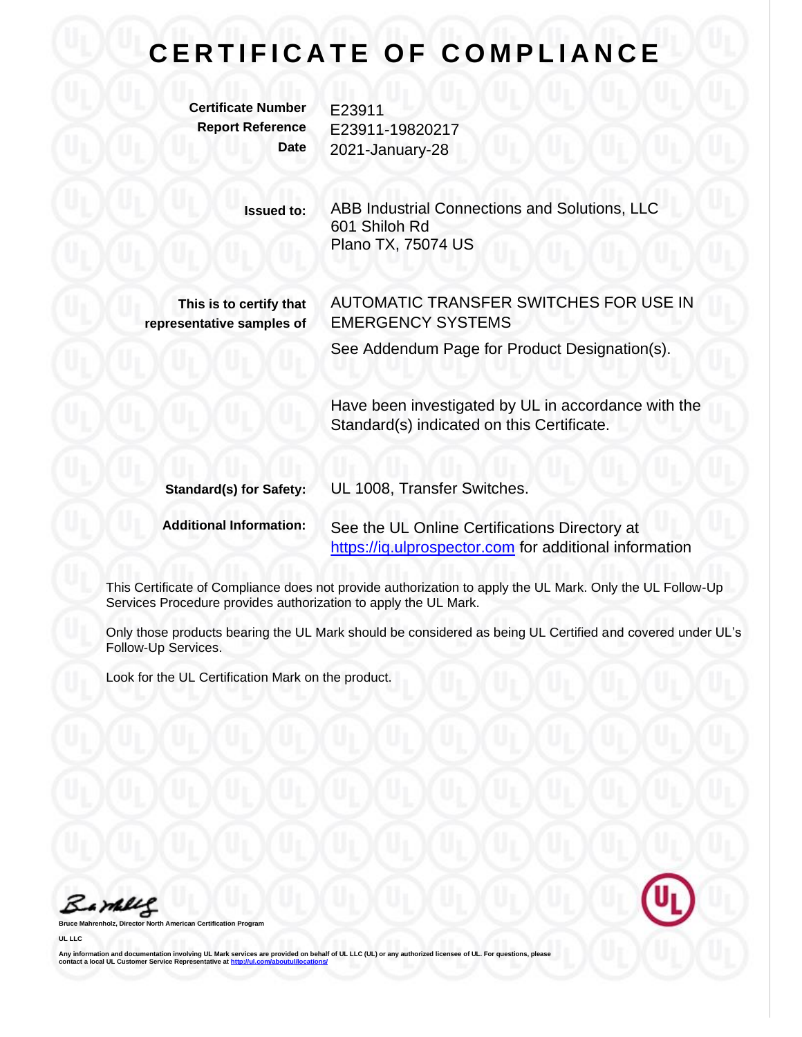## **CERTIFICATE OF COMPLIANCE**

**Certificate Number** E23911

**Report Reference** E23911-19820217 **Date** 2021-January-28

> **Issued to:** ABB Industrial Connections and Solutions, LLC 601 Shiloh Rd Plano TX, 75074 US

**This is to certify that representative samples of** AUTOMATIC TRANSFER SWITCHES FOR USE IN EMERGENCY SYSTEMS

See Addendum Page for Product Designation(s).

Have been investigated by UL in accordance with the Standard(s) indicated on this Certificate.

| <b>Standard(s) for Safety:</b> | UL 1008, Transfer Switches.                            |
|--------------------------------|--------------------------------------------------------|
| <b>Additional Information:</b> | See the UL Online Certifications Directory at          |
|                                | https://iq.ulprospector.com for additional information |

This Certificate of Compliance does not provide authorization to apply the UL Mark. Only the UL Follow-Up Services Procedure provides authorization to apply the UL Mark.

Only those products bearing the UL Mark should be considered as being UL Certified and covered under UL's Follow-Up Services.

Look for the UL Certification Mark on the product.

Barney

**Bruce Mahrenholz, Director North American Certification Program**

**UL LLC**

Any information and documentation involving UL Mark services are provided on behalf of UL LLC (UL) or any authorized licensee of UL. For questions, please<br>contact a local UL Customer Service Representative at <u>http://ul.co</u>